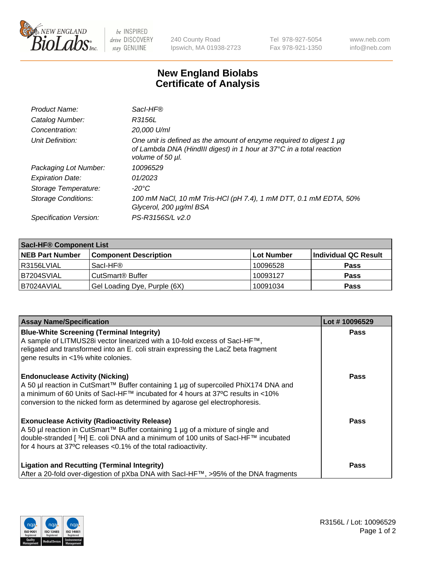

 $be$  INSPIRED drive DISCOVERY stay GENUINE

240 County Road Ipswich, MA 01938-2723 Tel 978-927-5054 Fax 978-921-1350 www.neb.com info@neb.com

## **New England Biolabs Certificate of Analysis**

| Product Name:              | Sacl-HF®                                                                                                                                                        |
|----------------------------|-----------------------------------------------------------------------------------------------------------------------------------------------------------------|
| Catalog Number:            | R3156L                                                                                                                                                          |
| Concentration:             | 20,000 U/ml                                                                                                                                                     |
| Unit Definition:           | One unit is defined as the amount of enzyme required to digest 1 µg<br>of Lambda DNA (HindIII digest) in 1 hour at 37°C in a total reaction<br>volume of 50 µl. |
| Packaging Lot Number:      | 10096529                                                                                                                                                        |
| <b>Expiration Date:</b>    | 01/2023                                                                                                                                                         |
| Storage Temperature:       | $-20^{\circ}$ C                                                                                                                                                 |
| <b>Storage Conditions:</b> | 100 mM NaCl, 10 mM Tris-HCl (pH 7.4), 1 mM DTT, 0.1 mM EDTA, 50%<br>Glycerol, 200 µg/ml BSA                                                                     |
| Specification Version:     | PS-R3156S/L v2.0                                                                                                                                                |

| <b>Sacl-HF® Component List</b> |                              |             |                      |  |  |
|--------------------------------|------------------------------|-------------|----------------------|--|--|
| <b>NEB Part Number</b>         | <b>Component Description</b> | ∣Lot Number | Individual QC Result |  |  |
| l R3156LVIAL                   | Sacl-HF®                     | 10096528    | <b>Pass</b>          |  |  |
| B7204SVIAL                     | CutSmart <sup>®</sup> Buffer | 10093127    | <b>Pass</b>          |  |  |
| B7024AVIAL                     | Gel Loading Dye, Purple (6X) | 10091034    | <b>Pass</b>          |  |  |

| <b>Assay Name/Specification</b>                                                                                                                                                                                                                                                                 | Lot #10096529 |
|-------------------------------------------------------------------------------------------------------------------------------------------------------------------------------------------------------------------------------------------------------------------------------------------------|---------------|
| <b>Blue-White Screening (Terminal Integrity)</b><br>A sample of LITMUS28i vector linearized with a 10-fold excess of SacI-HF™,<br>religated and transformed into an E. coli strain expressing the LacZ beta fragment<br>gene results in <1% white colonies.                                     | <b>Pass</b>   |
| <b>Endonuclease Activity (Nicking)</b><br>A 50 µl reaction in CutSmart™ Buffer containing 1 µg of supercoiled PhiX174 DNA and<br>a minimum of 60 Units of Sacl-HF™ incubated for 4 hours at 37°C results in <10%<br>conversion to the nicked form as determined by agarose gel electrophoresis. | <b>Pass</b>   |
| <b>Exonuclease Activity (Radioactivity Release)</b><br>A 50 µl reaction in CutSmart™ Buffer containing 1 µg of a mixture of single and<br> double-stranded [ 3H] E. coli DNA and a minimum of 100 units of Sacl-HF™ incubated<br>for 4 hours at 37°C releases <0.1% of the total radioactivity. | Pass          |
| <b>Ligation and Recutting (Terminal Integrity)</b><br>After a 20-fold over-digestion of pXba DNA with Sacl-HF™, >95% of the DNA fragments                                                                                                                                                       | Pass          |